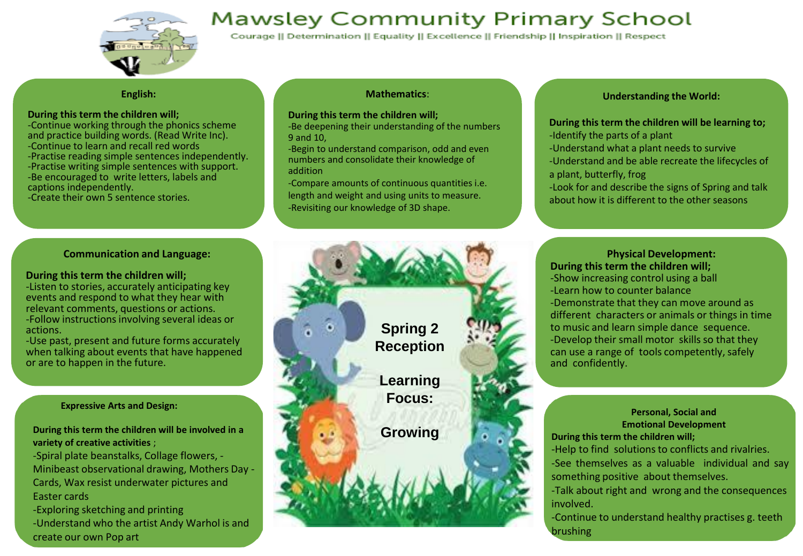

## **Mawsley Community Primary School**

Courage || Determination || Equality || Excellence || Friendship || Inspiration || Respect

#### **English:**

#### **During this term the children will;**

-Continue working through the phonics scheme and practice building words. (Read Write Inc). -Continue to learn and recall red words -Practise reading simple sentences independently. -Practise writing simple sentences with support. -Be encouraged to write letters, labels and captions independently.

-Create their own 5 sentence stories.

#### **Communication and Language:**

#### **During this term the children will;**

-Listen to stories, accurately anticipating key events and respond to what they hear with relevant comments, questions or actions. -Follow instructions involving several ideas or actions.

-Use past, present and future forms accurately when talking about events that have happened or are to happen in the future.

#### **Expressive Arts and Design:**

create our own Pop art

**During this term the children will be involved in a variety of creative activities** ;

-Spiral plate beanstalks, Collage flowers, - Minibeast observational drawing, Mothers Day - Cards, Wax resist underwater pictures and Easter cards -Exploring sketching and printing -Understand who the artist Andy Warhol is and

#### **Mathematics**:

#### **During this term the children will;**

-Be deepening their understanding of the numbers 9 and 10,

-Begin to understand comparison, odd and even numbers and consolidate their knowledge of addition

-Compare amounts of continuous quantities i.e. length and weight and using units to measure. -Revisiting our knowledge of 3D shape.

#### **Understanding the World:**

#### **During this term the children will be learning to;** -Identify the parts of a plant

- 
- -Understand what a plant needs to survive
- -Understand and be able recreate the lifecycles of a plant, butterfly, frog
- -Look for and describe the signs of Spring and talk about how it is different to the other seasons

**Physical Development: During this term the children will;** -Show increasing control using a ball -Learn how to counter balance -Demonstrate that they can move around as different characters or animals or things in time to music and learn simple dance sequence. -Develop their small motor skills so that they can use a range of tools competently, safely and confidently.

#### **Personal, Social and Emotional Development**

**During this term the children will;**

-Help to find solutions to conflicts and rivalries. -See themselves as a valuable individual and say something positive about themselves.

-Talk about right and wrong and the consequences involved.

-Continue to understand healthy practises g. teeth brushing